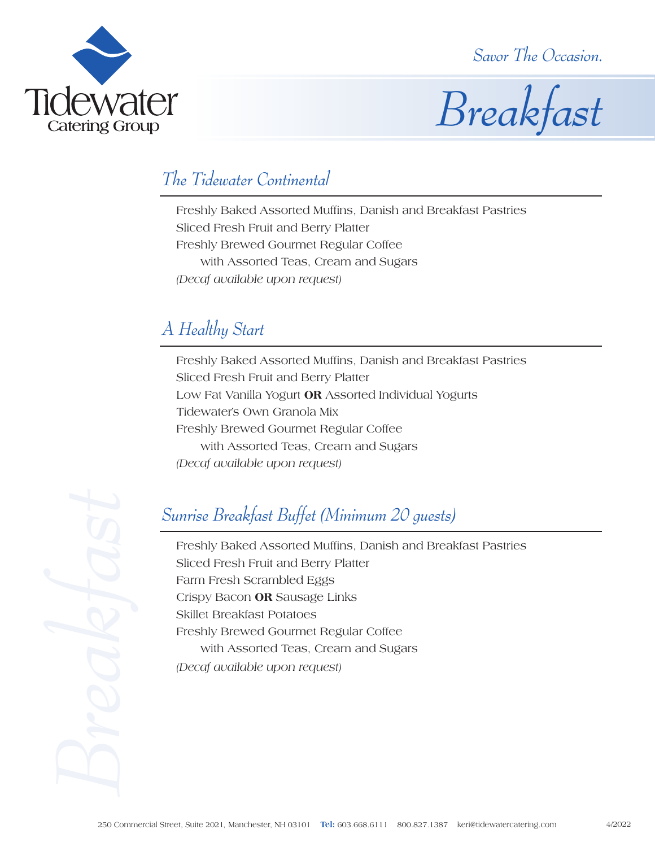*Savor The Occasion.*





#### *The Tidewater Continental*

Freshly Baked Assorted Muffins, Danish and Breakfast Pastries Sliced Fresh Fruit and Berry Platter Freshly Brewed Gourmet Regular Coffee with Assorted Teas, Cream and Sugars *(Decaf available upon request)*

### *A Healthy Start*

Freshly Baked Assorted Muffins, Danish and Breakfast Pastries Sliced Fresh Fruit and Berry Platter Low Fat Vanilla Yogurt **OR** Assorted Individual Yogurts Tidewater's Own Granola Mix Freshly Brewed Gourmet Regular Coffee with Assorted Teas, Cream and Sugars *(Decaf available upon request)*

# *Sunrise Breakfast Buffet (Minimum 20 guests)*

Freshly Baked Assorted Muffins, Danish and Breakfast Pastries Sliced Fresh Fruit and Berry Platter Farm Fresh Scrambled Eggs Crispy Bacon **OR** Sausage Links Skillet Breakfast Potatoes Freshly Brewed Gourmet Regular Coffee with Assorted Teas, Cream and Sugars *(Decaf available upon request)*

**Examples Survive Breakfast Buffer**<br>
Freshly Baked Assorted<br>
Sliced Fresh Fruit and Be<br>
Fram Fresh Scrambled B<br>
Crispy Bacon **OR** Sausag<br>
Skillet Breakfast Potatoes<br>
Freshly Brewed Gourme<br>
with Assorted Teas,<br> *(Decaf avai*